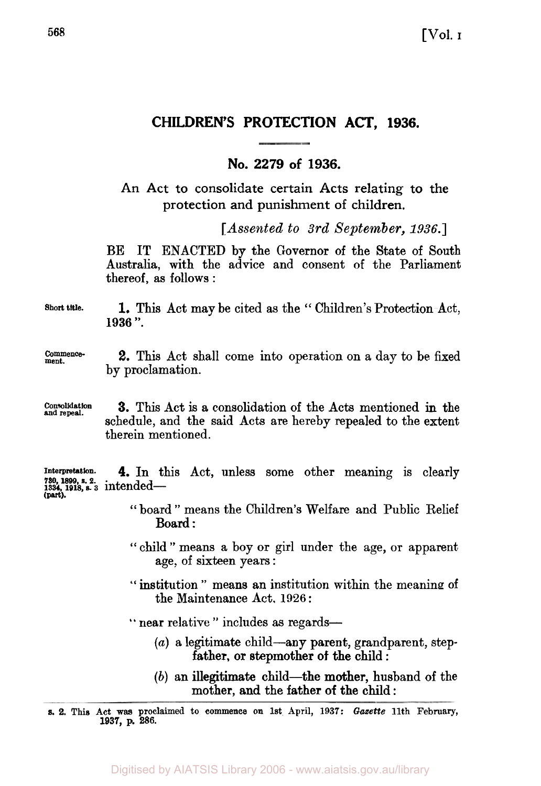# **CHILDREN'S PROTECTION ACT, 1936.**

## **No. 2279 of 1936.**

**An Act to consolidate certain Acts relating to the protection and punishment of children.** 

*[Assented to 3rd September, 1936.]* 

BE IT ENACTED **by** the Governor of the State of South Australia, with the advice and consent of the Parliament thereof, as follows :

**Short title. 1.** This Act may be cited as the " Children's Protection Act, **<sup>1936</sup>**".

**ment. Commence- 2.** This Act shall come into operation on a day to be fixed by proclamation.

**and Consolidation repeal. 3.** This Act **is a** consolidation of the Acta mentioned in the schedule, and the said Acts are hereby repealed to the extent therein mentioned.

*Interpretation.* **4.** In this Act, unless some other meaning is clearly **1334, 1918, s. 3** intended- **730 1899 s 2 (part).** 

- " board " means the Children's Welfare and Public Relief Board :
- " child " means a boy **or** girl under the age, or apparent age, of sixteen years :
- " institution " means an institution within the meaning of the Maintenance Act. **1926** :

" near relative " includes as regards-

- *(a)* a legitimate child-any parent, grandparent, step father, or stepmother **of** the child :
- (b) an illegitimate child—the mother, husband of the mother, **and** the father **of the child** :

**s. 2.** This **Act was proclaimed to commence on 1st April, 1937:** *Gazette* **11th February, 1937, p. 286.**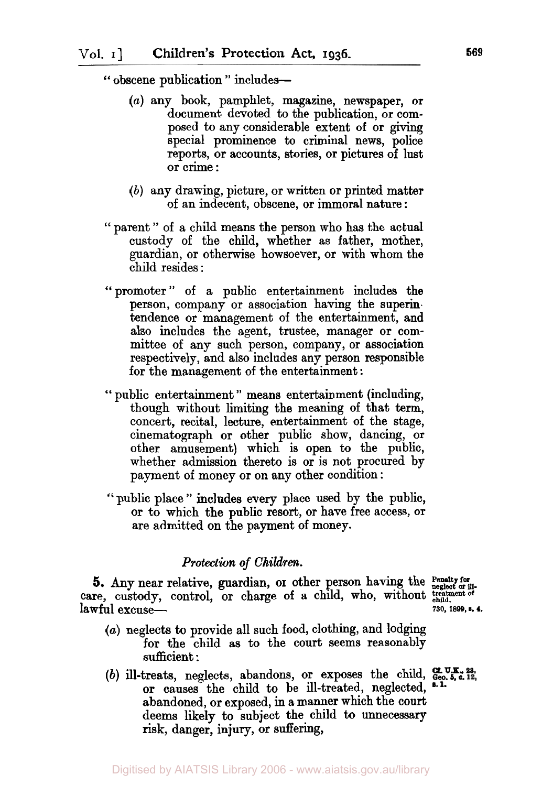" obscene publication " includes-

- *(a)* any book, pamphlet, magazine, newspaper, **or**  document devoted to the publication, or composed to any considerable extent of or giving special prominence *to* criminal news, police reports, or accounts, stories, or pictures of lust **or** crime :
- *(b)* any drawing, picture, or written or printed matter of an indecent, obscene, **or** immoral nature :
- " parent " of a child means the person who has the actual custody of the child, whether as father, mother, guardian, **or** otherwise howsoever, or with whom the child resides :
- " promoter " of a public entertainment includes the person, company **or** association having the superintendence or management **of** the entertainment, **and**  also includes the agent, trustee, manager or committee of any such person, company, or association respectively, and also includes any person responsible for the management **of** the entertainment :
- " public entertainment '' means entertainment (including, though without limiting the meaning **of** that term, concert, recital, lecture, entertainment **of** the stage, cinematograph or other public show, dancing, **or**  other amusement) which is open to the public, whether admission thereto is **or** is not procured by payment of money **or** on any other condition :
- *"* public place " includes every place **used** by the public, or to which the public resort, **or** have free access, or are admitted on the payment **of** money.

#### *Protection of Children.*

5. Any near relative, guardian, or other person having the Penatty for  $\frac{1}{\text{neglect or ill}}$ . care, custody, control, or charge of a child, who, without treatment of child child. lawful excuse- **730, 1899, s. 4**

- 
- *(a)* neglects to provide all such food, clothing, and lodging **for** the child as to the court seems reasonably sufficient :
- (b) **ill-treats**, neglects, abandons, or exposes the child,  $G_{\text{eq}}^{\text{f. U.E. 23}}$ or causes the child to be ill-treated, neglected, <sup>a. 1.</sup> abandoned, or exposed, in a manner which the court deems likely to subject the child to unnecessary risk, danger, injury, or suffering,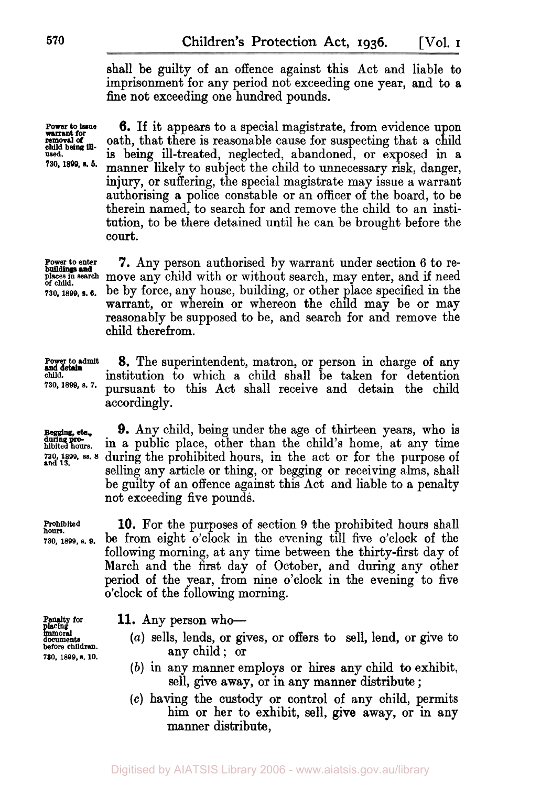shall be guilty **of** an offence against this Act and liable to imprisonment for any period not exceeding one year, and to a fine not exceeding one hundred pounds.

**Power to issue removal of warrant for**  used. *730.* **1899** *s. 5.*  **child being ill-**

**6. If** it appears to a special magistrate, from evidence upon oath, that there is reasonable cause for suspecting that a child **is** being ill-treated, neglected, abandoned, or exposed in a manner likely to subject the child to unnecessary risk, danger, injury, or suffering, the special magistrate may issue a warrant authorising a police constable or an officer of the board, to be therein named, to search for and remove the child to an institution, to be there detained until he can be brought before the court.

**buildings and** 

**7.** Any person authorised by warrant under section 6 to replaces in search move any child with or without search, may enter, and if need **730, 1899, 6.** be by force, any house, building, or other place specified **in** the warrant, or wherein or whereon the child may be or may reasonably be supposed to be, and search for and remove the child therefrom.

> institution to which a child shall be taken for detention pursuant to this Act shall receive and detain the child

**Power to admit 8.** The superintendent, matron, or person in charge **of** any **730, 1899, s. 7.** 

accordingly.

**Begging, etc., during proand 13.** 

**9.** Any child, being under the age of thirteen years, **who** is in a public place, other than the child's home, at any time during the prohibited hours, in the act or for the purpose of selling any article or thing, or begging or receiving alms, shall be guilty of an offence against this Act and liable to a penalty not exceeding five pounds.

**hours. Prohibited 10.** For the purposes of section **9** the prohibited hours shall **730,1899, s. 9.** be from eight o'clock in the evening till five o'clock **of** the following morning, at any time between the thirty-first day of March and the first day of October, and during any other period of the year, from nine o'clock in the evening to five o'clock **of** the following morning.

**placing immoral documents before children. 730. 1899, s. 10.** 

**Penalty for 11.** Any person who-

- *(a)* sells, lends, or gives, or offers to sell, lend, or give to any child; or
- *(b)* in any manner employs or hires any child to exhibit, sell, give away, or in any manner distribute ;
- *(c)* having the custody or control **of** any child, permits him or her to exhibit, sell, **give** away, or in any manner distribute,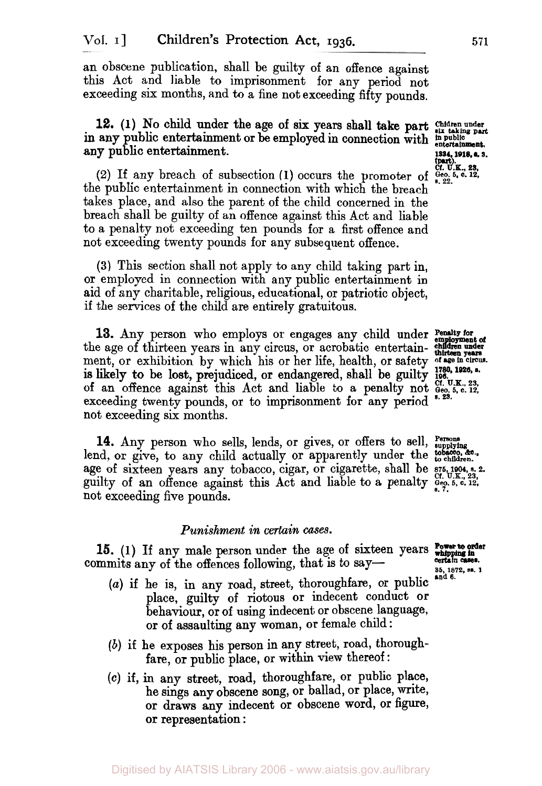an obscene publication, shall be guilty of an offence against this Act and liable to imprisonment for any **period** not exceeding *six* months, and to a fine not exceeding fifty pounds.

## any public entertainment. **1334**, 1918, a. 3. **12. (1)** No child under the age of six years shall take part in any public entertainment or be employed in connection with *in public entertainment.*

**(2)** If any breach of subsection **(1)** occurs the promoter of *Geo. 5, c. 12, s. 22*  the public entertainment in connection with which the breach takes place, and also the parent of the child concerned in the breach shall be guilty of an offence against this Act and liable to a penalty not exceeding ten pounds for a first offence and not exceeding twenty pounds for any subsequent offence.

**(3)** This section shall not apply to any child taking part in, or employed in connection with any public entertainment in aid of any charitable, religious, educational, or patriotic object, if the services of the child are entirely gratuitous.

13. Any person who employs or engages any child under **Penalty for** the age of thirteen years in any circus, or acrobatic entertainment, or exhibition by which his or her life, health, or safety **of age in circus**  is likely to be lost, prejudiced, or endangered, shall be guilty **196.**  exceeding twenty pounds, or to imprisonment for any period <sup>8.23.</sup> not exceeding *six* months. **Cf. U.K., 23, of** an offence against this Act and liable *to* a penalty not *Geo. 5,* **c.** *12,* 

**14.** Any person who sells, lends, or gives, or offers to sell, *Persons supplying*  age of sixteen years any tobacco, cigar, or cigarette, shall be  $875,1904, 5.23$ guilty of an offence against this Act and liable to **a** penalty *Geo. s. 7. 5,* **c. 12,**  not exceeding five pounds. lend, or give, to any child actually or apparently under the tobacco.  $\alpha$ .

#### *Punishment in certain cases.*

**15.** (1) If any male person under the age of sixteen years **Power to order** whipping in  $\frac{1}{2}$ commits any of the offences following, that is to say-

- *(U)* if he is, in any road, street, thoroughfare, **or** public place, guilty **of** riotous or indecent conduct **or**  behaviour, or of using indecent or obscene language, or of assaulting any woman, or female child :
- *(b)* if he exposes his person in any street, road, thoroughfare, or public place, or within view thereof:
- **(C)** if, **in** any street, road, thoroughfare, or public place, he sings any obscene song, or ballad, or place, write, or draws **any** indecent or obscene word, or figure, **or** representation :

**1780, 1928, s.** 

**Power to order** 

**35, 1872. M. 1 and 6.** 

**Children under six taking part (part).**<br>*Cf.* **U.K., 23, Geo. 5, c. 12, 8. 22.**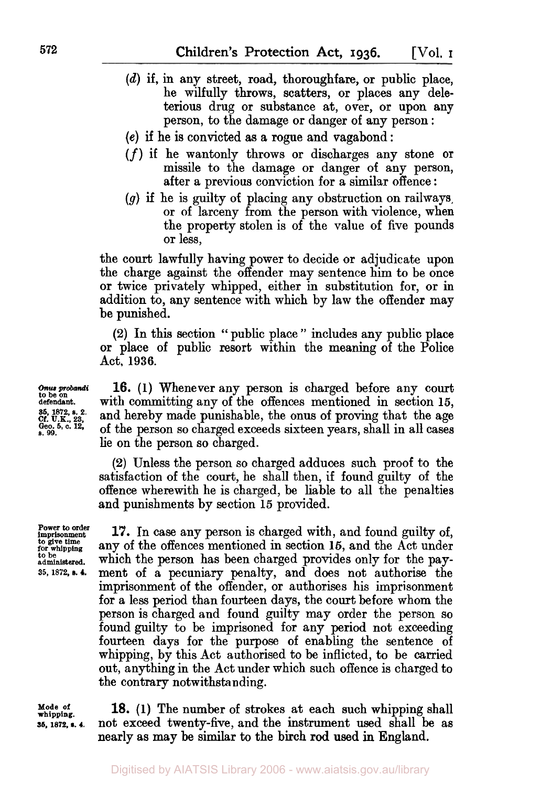- *(d)* if, in any street, road, thoroughfare, or public place, he wilfully throws, scatters, or places any deleterious drug **or** substance at, over, or upon any person, to the damage or danger of any person :
- **(e)** if he is convicted as **a** rogue and vagabond :
- (f) if he wantonly throws or discharges any stone or missile to the damage or danger of any person, after **a** previous conviction for **a** similar offence :
- *(g)* if he is guilty of placing any obstruction on railways, or of larceny from the person with violence, when the property stolen is **of** the value of five pounds or less,

the court lawfully having power to decide **or** adjudicate upon the charge against the offender may sentence him to be once **or** twice privately whipped, either in substitution for, or in addition to, any sentence with which by law the offender **may**  be punished.

**(2)** In this section " public place " includes any public place **or** place of public resort within the meaning of the Police Act, **1936.** 

**16. (1)** Whenever any person is charged before any court with committing any of the offences mentioned in section **15,**  and hereby made punishable, the onus of proving that the age of the person so charged exceeds sixteen years, shall in all cases lie on the person so charged.

(2) Unless the person so charged adduces such proof to the satisfaction of the court, he shall then, if found guilty of the offence wherewith he is charged, be liable to all the penalties and punishments by section **15** provided.

**Power to order imprisonment**  *to* **give time for whipping to be administered. 35, 1872, s. 4.** 

**17.** In case any person is charged with, and found guilty of, any of the offences mentioned in section **16,** and the Act under which the person has been charged provides only for the payment of **a** pecuniary penalty, and does not authorise the imprisonment of the offender, or authorises his imprisonment for **a** less period than fourteen days, the court before whom the person is charged and found guilty may order the person so found guilty to be imprisoned for any period not exceeding fourteen days for the purpose **of** enabling the sentence of whipping, by this Act authorised to be inflicted, to be carried out, anything in the Act under which such offence is charged to the contrary notwithstanding.

**Mode of whipping. 56, 1872, e. 4.** 

**18. (1)** The number of strokes at each such whipping shall not exceed twenty-five, and the instrument used shall be as nearly as may be similar to the birch **rod** used in England.

**Onus probandi to be on defendant.**  *35, 1872, s. 2.* **Cf. U.K.,** *23,*  **Geo.** *5,* **c. 12, s. 99.**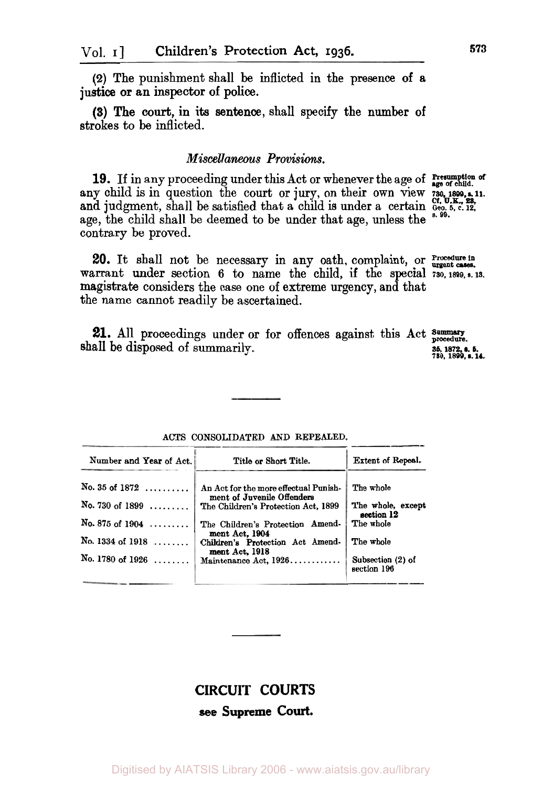**(2)** The punishment shall be inflicted in the **presence of** a justice or an inspector of police.

**(3)** The court, in its sentence, shall specify the **number of**  strokes to be inflicted.

#### *Miscellaneous Provisions.*

**19.** If in any proceeding under this Act or whenever the age of **Presumption** of any child is in question the court or jury, on their own view 730 1899, s. 11. and judgment, shall be satisfied that a child is under a certain  $G_{\text{eq}}^{(1)}$ ,  $U_{\text{R}}^{(2)}$ ,  $V_{\text{eq}}^{(2)}$ age, the child shall be deemed to be under that age, unless the contrary be proved.

warrant under section **6** to name the child, if the special **730, 1899, s. 13.**  magistrate considers the case one of extreme urgency, and that the name cannot readily be ascertained. **Procedure in 20.** It shall not be necessary in any oath, complaint, or **urgent** cases.

21. All proceedings under or for offences against this Act summary shall be disposed of summarily.

ACTS CONSOLIDATED AND REPEALED.

|  | <b>CIRCUIT COURTS</b> |
|--|-----------------------|
|  | see Supreme Court.    |

Digitised by AIATSIS Library 2006 - www.aiatsis.gov.au/library

| Number and Year of Act.   | Title or Short Title.                                             | Extent of Repeal.                |
|---------------------------|-------------------------------------------------------------------|----------------------------------|
| No. 35 of $1872$          | An Act for the more effectual Punish-                             | The whole                        |
| No. 730 of 1899 $\ldots$  | ment of Juvenile Offenders<br>The Children's Protection Act, 1899 | The whole, except<br>section 12  |
| No. 875 of $1904$         | The Children's Protection Amend-<br>ment Act, 1904                | The whole                        |
| No. 1334 of 1918 $\ldots$ | Children's Protection Act Amend-                                  | The whole                        |
| No. 1780 of 1926 $\ldots$ | ment Act. 1918<br>Maintenance Act, 1926                           | Subsection (2) of<br>section 196 |

*730, 1899, s. 14.*